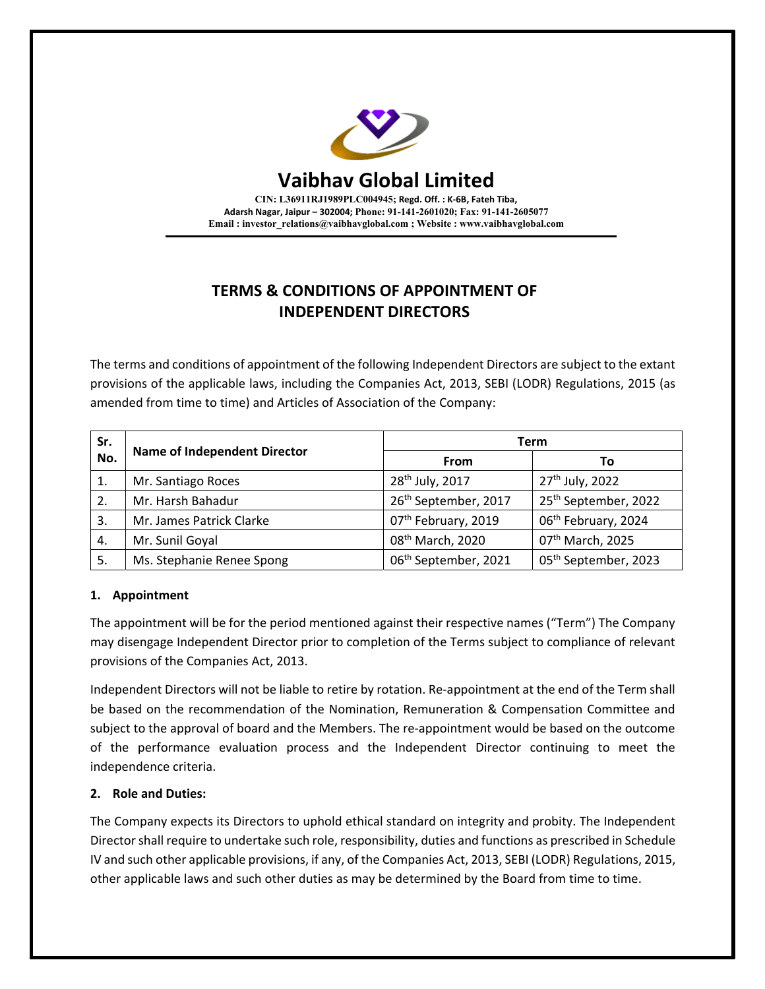

# **TERMS & CONDITIONS OF APPOINTMENT OF INDEPENDENT DIRECTORS**

The terms and conditions of appointment of the following Independent Directors are subject to the extant provisions of the applicable laws, including the Companies Act, 2013, SEBI (LODR) Regulations, 2015 (as amended from time to time) and Articles of Association of the Company:

| Sr.<br>No. | <b>Name of Independent Director</b> | Term                             |                                  |
|------------|-------------------------------------|----------------------------------|----------------------------------|
|            |                                     | From                             | Τo                               |
| 1.         | Mr. Santiago Roces                  | 28 <sup>th</sup> July, 2017      | 27 <sup>th</sup> July, 2022      |
| 2.         | Mr. Harsh Bahadur                   | 26 <sup>th</sup> September, 2017 | 25 <sup>th</sup> September, 2022 |
| 3.         | Mr. James Patrick Clarke            | 07th February, 2019              | 06 <sup>th</sup> February, 2024  |
| 4.         | Mr. Sunil Goyal                     | 08 <sup>th</sup> March, 2020     | 07 <sup>th</sup> March, 2025     |
| 5.         | Ms. Stephanie Renee Spong           | 06 <sup>th</sup> September, 2021 | 05 <sup>th</sup> September, 2023 |

# **1. Appointment**

The appointment will be for the period mentioned against their respective names ("Term") The Company may disengage Independent Director prior to completion of the Terms subject to compliance of relevant provisions of the Companies Act, 2013.

Independent Directors will not be liable to retire by rotation. Re‐appointment at the end of the Term shall be based on the recommendation of the Nomination, Remuneration & Compensation Committee and subject to the approval of board and the Members. The re-appointment would be based on the outcome of the performance evaluation process and the Independent Director continuing to meet the independence criteria.

# **2. Role and Duties:**

The Company expects its Directors to uphold ethical standard on integrity and probity. The Independent Directorshall require to undertake such role, responsibility, duties and functions as prescribed in Schedule IV and such other applicable provisions, if any, of the Companies Act, 2013, SEBI (LODR) Regulations, 2015, other applicable laws and such other duties as may be determined by the Board from time to time.